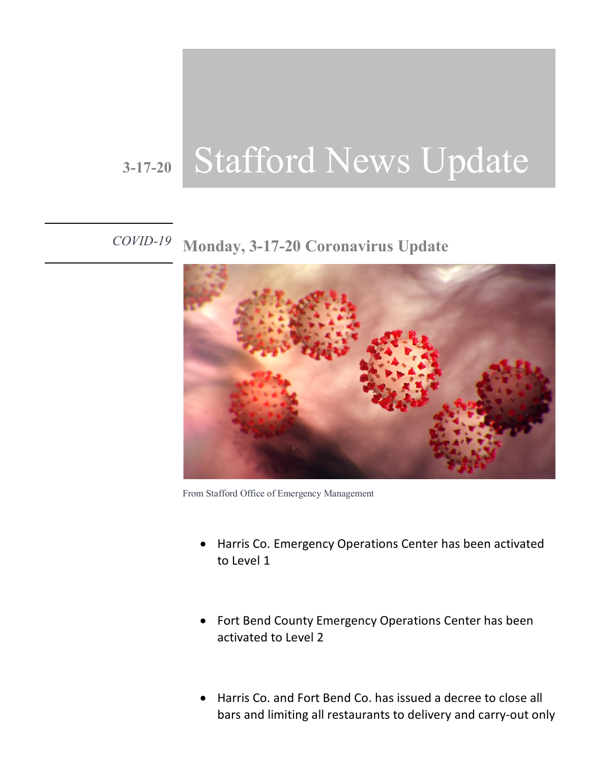## **3-17-20** Stafford News Update

## *COVID-19* **Monday, 3-17-20 Coronavirus Update**



From Stafford Office of Emergency Management

- Harris Co. Emergency Operations Center has been activated to Level 1
- Fort Bend County Emergency Operations Center has been activated to Level 2
- Harris Co. and Fort Bend Co. has issued a decree to close all bars and limiting all restaurants to delivery and carry-out only